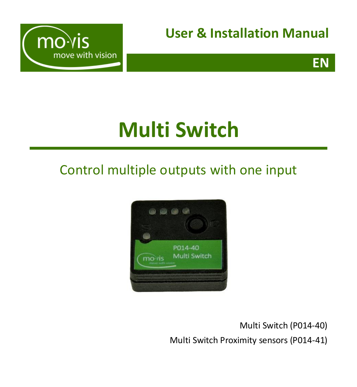



# **Multi Switch**

## Control multiple outputs with one input



Multi Switch (P014-40)

Multi Switch Proximity sensors (P014-41)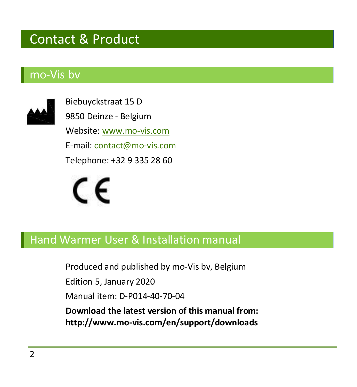## <span id="page-1-0"></span>Contact & Product

### <span id="page-1-1"></span>mo-Vis bv



Biebuyckstraat 15 D 9850 Deinze - Belgium Website[: www.mo-vis.com](http://www.mo-vis.com/) E-mail[: contact@mo-vis.com](mailto:contact@mo-vis.com) Telephone: +32 9 335 28 60



### <span id="page-1-2"></span>Hand Warmer User & Installation manual

Produced and published by mo-Vis bv, Belgium

Edition 5, January 2020

Manual item: D-P014-40-70-04

**Download the latest version of this manual from: <http://www.mo-vis.com/en/support/downloads>**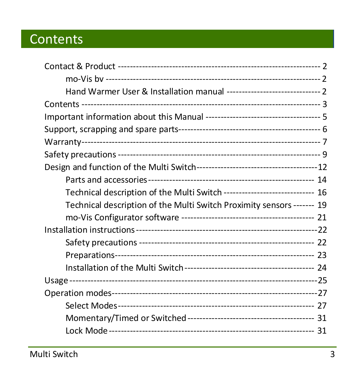## <span id="page-2-0"></span>Contents

| Hand Warmer User & Installation manual ------------------------------- 2   |  |
|----------------------------------------------------------------------------|--|
|                                                                            |  |
|                                                                            |  |
|                                                                            |  |
|                                                                            |  |
|                                                                            |  |
|                                                                            |  |
|                                                                            |  |
| Technical description of the Multi Switch ----------------------------- 16 |  |
| Technical description of the Multi Switch Proximity sensors ------- 19     |  |
|                                                                            |  |
|                                                                            |  |
|                                                                            |  |
|                                                                            |  |
|                                                                            |  |
|                                                                            |  |
|                                                                            |  |
|                                                                            |  |
|                                                                            |  |
|                                                                            |  |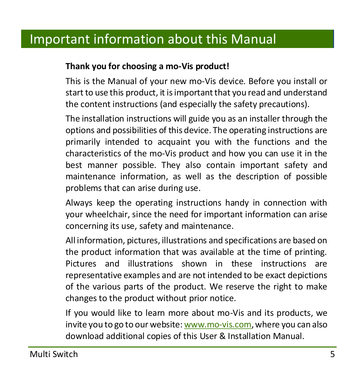## <span id="page-4-0"></span>Important information about this Manual

#### **Thank you for choosing a mo-Vis product!**

This is the Manual of your new mo-Vis device. Before you install or start to use this product, it is important that you read and understand the content instructions (and especially the safety precautions).

The installation instructions will guide you as an installer through the options and possibilities of this device. The operating instructions are primarily intended to acquaint you with the functions and the characteristics of the mo-Vis product and how you can use it in the best manner possible. They also contain important safety and maintenance information, as well as the description of possible problems that can arise during use.

Always keep the operating instructions handy in connection with your wheelchair, since the need for important information can arise concerning its use, safety and maintenance.

All information, pictures, illustrations and specifications are based on the product information that was available at the time of printing. Pictures and illustrations shown in these instructions are representative examples and are not intended to be exact depictions of the various parts of the product. We reserve the right to make changes to the product without prior notice.

If you would like to learn more about mo-Vis and its products, we invite you to go to our website[: www.mo-vis.com,](http://www.mo-vis.com/) where you can also download additional copies of this User & Installation Manual.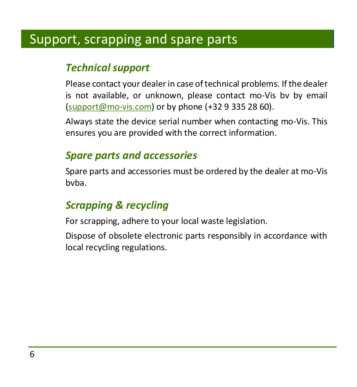## <span id="page-5-0"></span>Support, scrapping and spare parts

### *Technical support*

Please contact your dealer in case of technical problems. If the dealer is not available, or unknown, please contact mo-Vis bv by email  $(support@mo-vis.com)$  or by phone  $(+329352860).$ 

Always state the device serial number when contacting mo-Vis. This ensures you are provided with the correct information.

### *Spare parts and accessories*

Spare parts and accessories must be ordered by the dealer at mo-Vis bvba.

### *Scrapping & recycling*

For scrapping, adhere to your local waste legislation.

Dispose of obsolete electronic parts responsibly in accordance with local recycling regulations.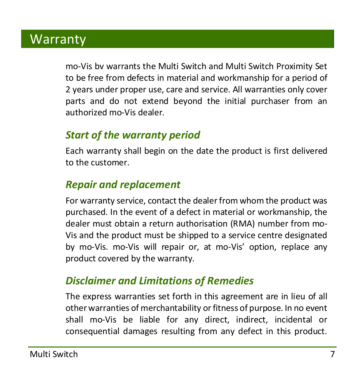## <span id="page-6-0"></span>**Warranty**

mo-Vis bv warrants the Multi Switch and Multi Switch Proximity Set to be free from defects in material and workmanship for a period of 2 years under proper use, care and service. All warranties only cover parts and do not extend beyond the initial purchaser from an authorized mo-Vis dealer.

### *Start of the warranty period*

Each warranty shall begin on the date the product is first delivered to the customer.

### *Repair and replacement*

For warranty service, contact the dealer from whom the product was purchased. In the event of a defect in material or workmanship, the dealer must obtain a return authorisation (RMA) number from mo-Vis and the product must be shipped to a service centre designated by mo-Vis. mo-Vis will repair or, at mo-Vis' option, replace any product covered by the warranty.

### *Disclaimer and Limitations of Remedies*

The express warranties set forth in this agreement are in lieu of all other warranties of merchantability or fitness of purpose. In no event shall mo-Vis be liable for any direct, indirect, incidental or consequential damages resulting from any defect in this product.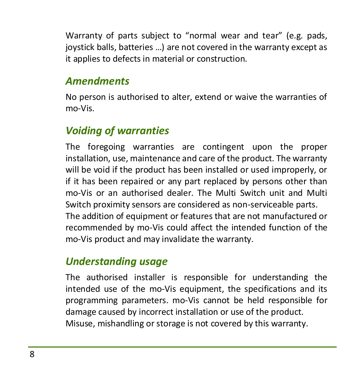Warranty of parts subject to "normal wear and tear" (e.g. pads, joystick balls, batteries …) are not covered in the warranty except as it applies to defects in material or construction.

#### *Amendments*

No person is authorised to alter, extend or waive the warranties of mo-Vis.

### *Voiding of warranties*

The foregoing warranties are contingent upon the proper installation, use, maintenance and care of the product. The warranty will be void if the product has been installed or used improperly, or if it has been repaired or any part replaced by persons other than mo-Vis or an authorised dealer. The Multi Switch unit and Multi Switch proximity sensors are considered as non-serviceable parts. The addition of equipment or features that are not manufactured or recommended by mo-Vis could affect the intended function of the mo-Vis product and may invalidate the warranty.

### *Understanding usage*

The authorised installer is responsible for understanding the intended use of the mo-Vis equipment, the specifications and its programming parameters. mo-Vis cannot be held responsible for damage caused by incorrect installation or use of the product. Misuse, mishandling or storage is not covered by this warranty.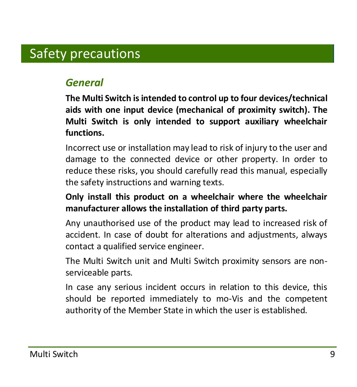## <span id="page-8-0"></span>Safety precautions

### *General*

**The Multi Switch is intended to control up to four devices/technical aids with one input device (mechanical of proximity switch). The Multi Switch is only intended to support auxiliary wheelchair functions.**

Incorrect use or installation may lead to risk of injury to the user and damage to the connected device or other property. In order to reduce these risks, you should carefully read this manual, especially the safety instructions and warning texts.

#### **Only install this product on a wheelchair where the wheelchair manufacturer allows the installation of third party parts.**

Any unauthorised use of the product may lead to increased risk of accident. In case of doubt for alterations and adjustments, always contact a qualified service engineer.

The Multi Switch unit and Multi Switch proximity sensors are nonserviceable parts.

In case any serious incident occurs in relation to this device, this should be reported immediately to mo-Vis and the competent authority of the Member State in which the user is established.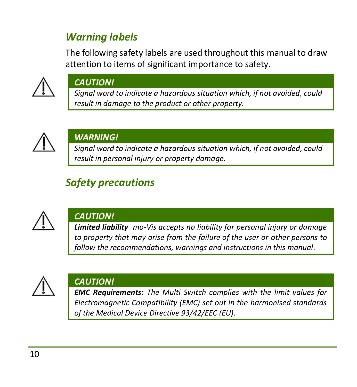### *Warning labels*

The following safety labels are used throughout this manual to draw attention to items of significant importance to safety.



#### *CAUTION!*

*Signal word to indicate a hazardous situation which, if not avoided, could result in damage to the product or other property.* 



#### *WARNING!*

*Signal word to indicate a hazardous situation which, if not avoided, could result in personal injury or property damage.* 

### *Safety precautions*



#### *CAUTION!*

*Limited liability: mo-Vis accepts no liability for personal injury or damage to property that may arise from the failure of the user or other persons to follow the recommendations, warnings and instructions in this manual.*



#### *CAUTION!*

*EMC Requirements: The Multi Switch complies with the limit values for Electromagnetic Compatibility (EMC) set out in the harmonised standards of the Medical Device Directive 93/42/EEC (EU).*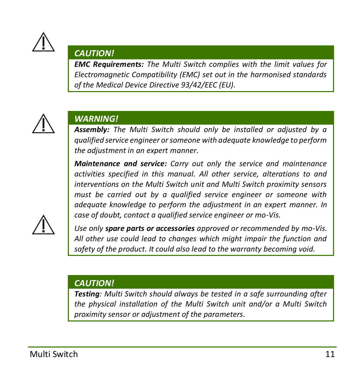

#### *CAUTION!*

*EMC Requirements: The Multi Switch complies with the limit values for Electromagnetic Compatibility (EMC) set out in the harmonised standards of the Medical Device Directive 93/42/EEC (EU).*



#### *WARNING!*

*Assembly: The Multi Switch should only be installed or adjusted by a qualified service engineer or someone with adequate knowledge to perform the adjustment in an expert manner.*

*Maintenance and service: Carry out only the service and maintenance activities specified in this manual. All other service, alterations to and interventions on the Multi Switch unit and Multi Switch proximity sensors must be carried out by a qualified service engineer or someone with adequate knowledge to perform the adjustment in an expert manner. In case of doubt, contact a qualified service engineer or mo-Vis.*



*Use only spare parts or accessories approved or recommended by mo-Vis. All other use could lead to changes which might impair the function and safety of the product. It could also lead to the warranty becoming void.*

#### *CAUTION!*

*Testing: Multi Switch should always be tested in a safe surrounding after the physical installation of the Multi Switch unit and/or a Multi Switch proximity sensor or adjustment of the parameters.*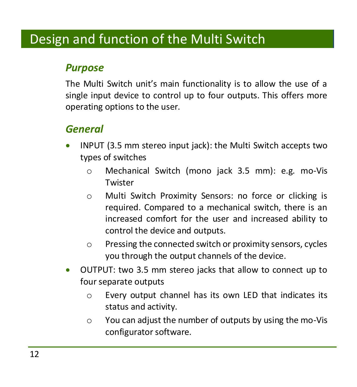## <span id="page-11-0"></span>Design and function of the Multi Switch

#### *Purpose*

The Multi Switch unit's main functionality is to allow the use of a single input device to control up to four outputs. This offers more operating options to the user.

### *General*

- INPUT (3.5 mm stereo input jack): the Multi Switch accepts two types of switches
	- o Mechanical Switch (mono jack 3.5 mm): e.g. mo-Vis **Twister**
	- o Multi Switch Proximity Sensors: no force or clicking is required. Compared to a mechanical switch, there is an increased comfort for the user and increased ability to control the device and outputs.
	- o Pressing the connected switch or proximity sensors, cycles you through the output channels of the device.
- OUTPUT: two 3.5 mm stereo jacks that allow to connect up to four separate outputs
	- o Every output channel has its own LED that indicates its status and activity.
	- o You can adjust the number of outputs by using the mo-Vis configurator software.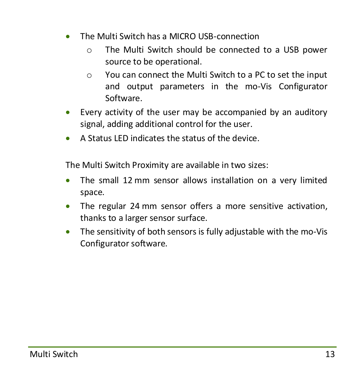- The Multi Switch has a MICRO USB-connection
	- o The Multi Switch should be connected to a USB power source to be operational.
	- o You can connect the Multi Switch to a PC to set the input and output parameters in the mo-Vis Configurator Software.
- Every activity of the user may be accompanied by an auditory signal, adding additional control for the user.
- A Status LED indicates the status of the device.

The Multi Switch Proximity are available in two sizes:

- The small 12 mm sensor allows installation on a very limited space.
- The regular 24 mm sensor offers a more sensitive activation, thanks to a larger sensor surface.
- The sensitivity of both sensors is fully adjustable with the mo-Vis Configurator software.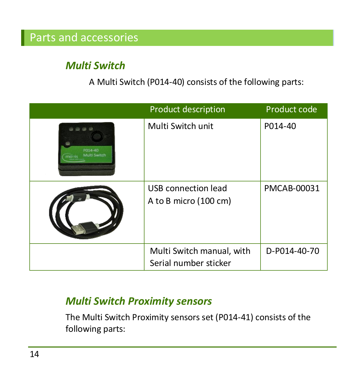### <span id="page-13-0"></span>Parts and accessories

### *Multi Switch*

A Multi Switch (P014-40) consists of the following parts:

|                                      | <b>Product description</b>                         | Product code |
|--------------------------------------|----------------------------------------------------|--------------|
| <br>P014-40<br>Multi Switch<br>mozis | Multi Switch unit                                  | P014-40      |
|                                      | USB connection lead<br>A to B micro (100 cm)       | PMCAB-00031  |
|                                      | Multi Switch manual, with<br>Serial number sticker | D-P014-40-70 |

#### *Multi Switch Proximity sensors*

The Multi Switch Proximity sensors set (P014-41) consists of the following parts: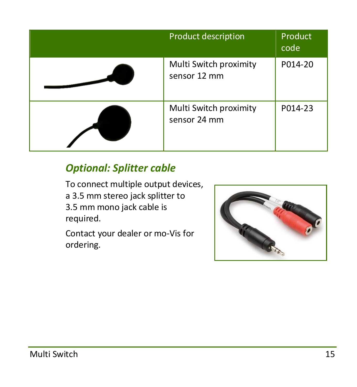| Product description                    | Product<br>code |
|----------------------------------------|-----------------|
| Multi Switch proximity<br>sensor 12 mm | P014-20         |
| Multi Switch proximity<br>sensor 24 mm | P014-23         |

### *Optional: Splitter cable*

To connect multiple output devices, a 3.5 mm stereo jack splitter to 3.5 mm mono jack cable is required.

Contact your dealer or mo-Vis for ordering.

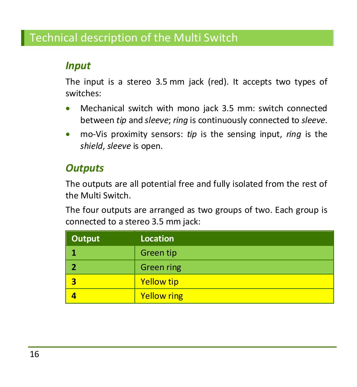### <span id="page-15-0"></span>Technical description of the Multi Switch

### *Input*

The input is a stereo 3.5 mm jack (red). It accepts two types of switches:

- Mechanical switch with mono jack 3.5 mm: switch connected between *tip* and *sleeve*; *ring* is continuously connected to *sleeve*.
- mo-Vis proximity sensors: *tip* is the sensing input, *ring* is the *shield*, *sleeve* is open.

### *Outputs*

The outputs are all potential free and fully isolated from the rest of the Multi Switch.

The four outputs are arranged as two groups of two. Each group is connected to a stereo 3.5 mm jack:

| Output | <b>Location</b>    |
|--------|--------------------|
|        | Green tip          |
|        | Green ring         |
|        | <b>Yellow tip</b>  |
|        | <b>Yellow ring</b> |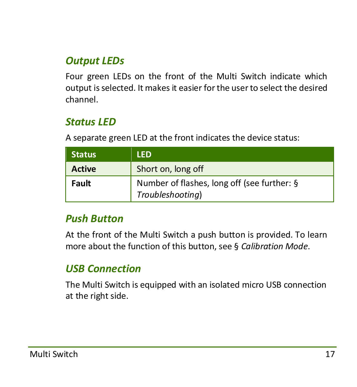### *Output LEDs*

Four green LEDs on the front of the Multi Switch indicate which output is selected. It makes it easier for the user to select the desired channel.

### *Status LED*

A separate green LED at the front indicates the device status:

| <b>Status</b> | <b>LED</b>                                                      |
|---------------|-----------------------------------------------------------------|
| <b>Active</b> | Short on, long off                                              |
| Fault         | Number of flashes, long off (see further: §<br>Troubleshooting) |

#### *Push Button*

At the front of the Multi Switch a push button is provided. To learn more about the function of this button, see § *Calibration Mode*.

### *USB Connection*

The Multi Switch is equipped with an isolated micro USB connection at the right side.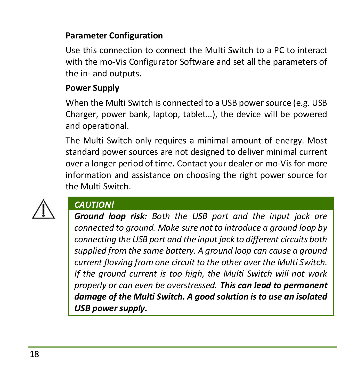#### **Parameter Configuration**

Use this connection to connect the Multi Switch to a PC to interact with the mo-Vis Configurator Software and set all the parameters of the in- and outputs.

#### **Power Supply**

When the Multi Switch is connected to a USB power source (e.g. USB Charger, power bank, laptop, tablet…), the device will be powered and operational.

The Multi Switch only requires a minimal amount of energy. Most standard power sources are not designed to deliver minimal current over a longer period of time. Contact your dealer or mo-Vis for more information and assistance on choosing the right power source for the Multi Switch.



#### *CAUTION!*

*Ground loop risk: Both the USB port and the input jack are connected to ground. Make sure not to introduce a ground loop by connecting the USB port and the input jack to different circuits both supplied from the same battery. A ground loop can cause a ground current flowing from one circuit to the other over the Multi Switch. If the ground current is too high, the Multi Switch will not work properly or can even be overstressed. This can lead to permanent damage of the Multi Switch. A good solution is to use an isolated USB power supply.*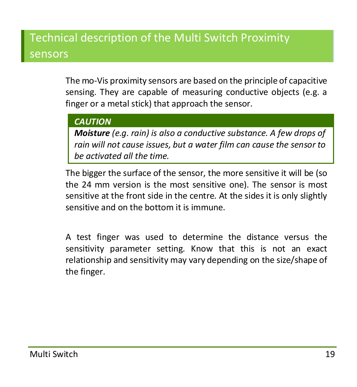## <span id="page-18-0"></span>Technical description of the Multi Switch Proximity sensors

The mo-Vis proximity sensors are based on the principle of capacitive sensing. They are capable of measuring conductive objects (e.g. a finger or a metal stick) that approach the sensor.

#### *CAUTION*

*Moisture (e.g. rain) is also a conductive substance. A few drops of rain will not cause issues, but a water film can cause the sensor to be activated all the time.*

The bigger the surface of the sensor, the more sensitive it will be (so the 24 mm version is the most sensitive one). The sensor is most sensitive at the front side in the centre. At the sides it is only slightly sensitive and on the bottom it is immune.

A test finger was used to determine the distance versus the sensitivity parameter setting. Know that this is not an exact relationship and sensitivity may vary depending on the size/shape of the finger.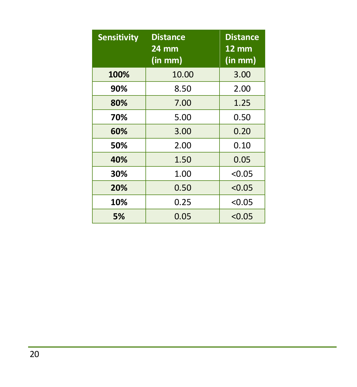| <b>Sensitivity</b> | <b>Distance</b><br>24 mm<br>(in mm) | <b>Distance</b><br>$12 \,\mathrm{mm}$<br>(in mm) |
|--------------------|-------------------------------------|--------------------------------------------------|
| 100%               | 10.00                               | 3.00                                             |
| 90%                | 8.50                                | 2.00                                             |
| 80%                | 7.00                                | 1.25                                             |
| 70%                | 5.00                                | 0.50                                             |
| 60%                | 3.00                                | 0.20                                             |
| 50%                | 2.00                                | 0.10                                             |
| 40%                | 1.50                                | 0.05                                             |
| 30%                | 1.00                                | < 0.05                                           |
| 20%                | 0.50                                | < 0.05                                           |
| 10%                | 0.25                                | < 0.05                                           |
| 5%                 | 0.05                                | < 0.05                                           |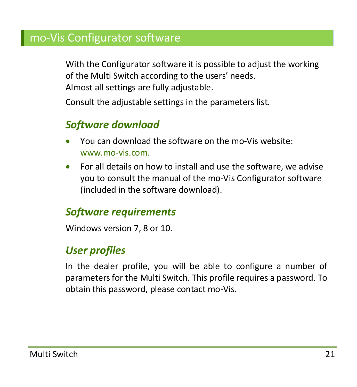### <span id="page-20-0"></span>mo-Vis Configurator software

With the Configurator software it is possible to adjust the working of the Multi Switch according to the users' needs. Almost all settings are fully adjustable.

Consult the adjustable settings in the parameters list.

### *Software download*

- You can download the software on the mo-Vis website: [www.mo-vis.com.](http://www.mo-vis.com/)
- For all details on how to install and use the software, we advise you to consult the manual of the mo-Vis Configurator software (included in the software download).

### *Software requirements*

Windows version 7, 8 or 10.

### *User profiles*

In the dealer profile, you will be able to configure a number of parameters for the Multi Switch. This profile requires a password. To obtain this password, please contact mo-Vis.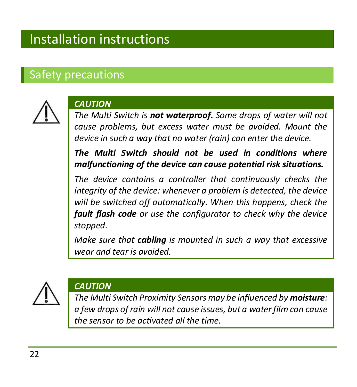## <span id="page-21-0"></span>Installation instructions

### <span id="page-21-1"></span>Safety precautions



#### *CAUTION*

*The Multi Switch is not waterproof***.** *Some drops of water will not cause problems, but excess water must be avoided. Mount the device in such a way that no water (rain) can enter the device.*

*The Multi Switch should not be used in conditions where malfunctioning of the device can cause potential risk situations.*

*The device contains a controller that continuously checks the integrity of the device: whenever a problem is detected, the device will be switched off automatically. When this happens, check the fault flash code or use the configurator to check why the device stopped.*

*Make sure that cabling is mounted in such a way that excessive wear and tear is avoided.*



#### *CAUTION*

*The Multi Switch Proximity Sensors may be influenced by moisture: a few drops of rain will not cause issues, but a water film can cause the sensor to be activated all the time.*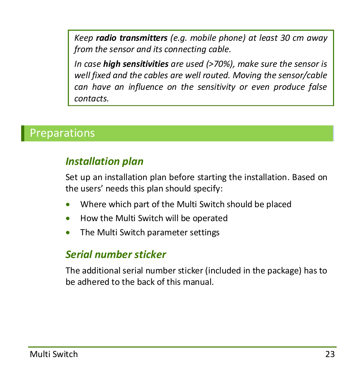*Keep radio transmitters (e.g. mobile phone) at least 30 cm away from the sensor and its connecting cable.*

*In case high sensitivities are used (>70%), make sure the sensor is well fixed and the cables are well routed. Moving the sensor/cable can have an influence on the sensitivity or even produce false contacts.* 

### <span id="page-22-0"></span>Preparations

### *Installation plan*

Set up an installation plan before starting the installation. Based on the users' needs this plan should specify:

- Where which part of the Multi Switch should be placed
- How the Multi Switch will be operated
- The Multi Switch parameter settings

### *Serial number sticker*

The additional serial number sticker (included in the package) has to be adhered to the back of this manual.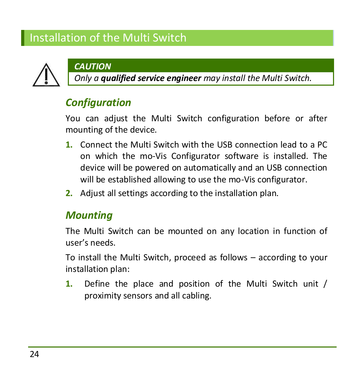### <span id="page-23-0"></span>Installation of the Multi Switch



### *CAUTION*

*Only a qualified service engineer may install the Multi Switch.*

### *Configuration*

You can adjust the Multi Switch configuration before or after mounting of the device.

- **1.** Connect the Multi Switch with the USB connection lead to a PC on which the mo-Vis Configurator software is installed. The device will be powered on automatically and an USB connection will be established allowing to use the mo-Vis configurator.
- **2.** Adjust all settings according to the installation plan.

#### *Mounting*

The Multi Switch can be mounted on any location in function of user's needs.

To install the Multi Switch, proceed as follows – according to your installation plan:

**1.** Define the place and position of the Multi Switch unit / proximity sensors and all cabling.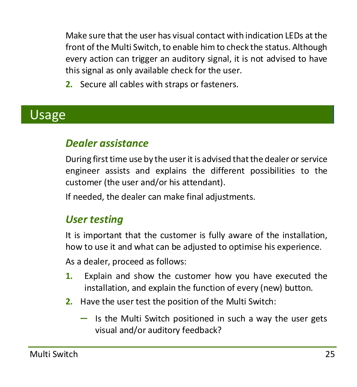Make sure that the user has visual contact with indication LEDs at the front of the Multi Switch, to enable him to check the status. Although every action can trigger an auditory signal, it is not advised to have this signal as only available check for the user.

**2.** Secure all cables with straps or fasteners.

## <span id="page-24-0"></span>Usage

### *Dealer assistance*

During first time use by the userit is advised that the dealer or service engineer assists and explains the different possibilities to the customer (the user and/or his attendant).

If needed, the dealer can make final adjustments.

#### *User testing*

It is important that the customer is fully aware of the installation, how to use it and what can be adjusted to optimise his experience.

As a dealer, proceed as follows:

- **1.** Explain and show the customer how you have executed the installation, and explain the function of every (new) button.
- **2.** Have the user test the position of the Multi Switch:
	- $-$  Is the Multi Switch positioned in such a way the user gets visual and/or auditory feedback?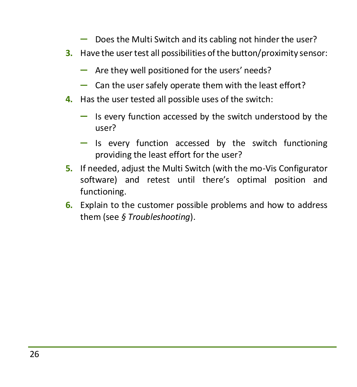- $\blacksquare$  Does the Multi Switch and its cabling not hinder the user?
- **3.** Have the user test all possibilities of the button/proximity sensor:
	- $-$  Are they well positioned for the users' needs?
	- $-$  Can the user safely operate them with the least effort?
- **4.** Has the user tested all possible uses of the switch:
	- $-$  Is every function accessed by the switch understood by the user?
	- $-$  Is every function accessed by the switch functioning providing the least effort for the user?
- **5.** If needed, adjust the Multi Switch (with the mo-Vis Configurator software) and retest until there's optimal position and functioning.
- **6.** Explain to the customer possible problems and how to address them (see *§ [Troubleshooting](#page-33-0)*).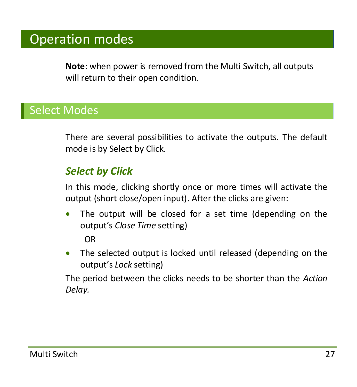## <span id="page-26-0"></span>Operation modes

**Note**: when power is removed from the Multi Switch, all outputs will return to their open condition.

### <span id="page-26-1"></span>Select Modes

There are several possibilities to activate the outputs. The default mode is by Select by Click.

### *Select by Click*

In this mode, clicking shortly once or more times will activate the output (short close/open input). After the clicks are given:

 The output will be closed for a set time (depending on the output's *Close Time* setting)

OR

 The selected output is locked until released (depending on the output's *Lock* setting)

The period between the clicks needs to be shorter than the *Action Delay.*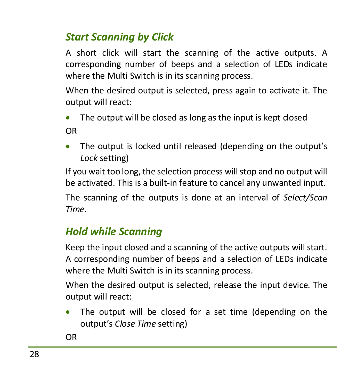### *Start Scanning by Click*

A short click will start the scanning of the active outputs. A corresponding number of beeps and a selection of LEDs indicate where the Multi Switch is in its scanning process.

When the desired output is selected, press again to activate it. The output will react:

The output will be closed as long as the input is kept closed

OR

 The output is locked until released (depending on the output's *Lock* setting)

If you wait too long, the selection process will stop and no output will be activated. This is a built-in feature to cancel any unwanted input.

The scanning of the outputs is done at an interval of *Select/Scan Time*.

### *Hold while Scanning*

Keep the input closed and a scanning of the active outputs will start. A corresponding number of beeps and a selection of LEDs indicate where the Multi Switch is in its scanning process.

When the desired output is selected, release the input device. The output will react:

• The output will be closed for a set time (depending on the output's *Close Time* setting)

OR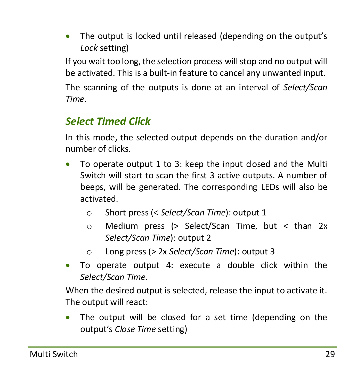• The output is locked until released (depending on the output's *Lock* setting)

If you wait too long, the selection process will stop and no output will be activated. This is a built-in feature to cancel any unwanted input.

The scanning of the outputs is done at an interval of *Select/Scan Time*.

### *Select Timed Click*

In this mode, the selected output depends on the duration and/or number of clicks.

- To operate output 1 to 3: keep the input closed and the Multi Switch will start to scan the first 3 active outputs. A number of beeps, will be generated. The corresponding LEDs will also be activated.
	- o Short press (< *Select/Scan Time*): output 1
	- o Medium press (> Select/Scan Time, but < than 2x *Select/Scan Time*): output 2
	- o Long press (> 2x *Select/Scan Time*): output 3
- To operate output 4: execute a double click within the *Select/Scan Time*.

When the desired output is selected, release the input to activate it. The output will react:

 The output will be closed for a set time (depending on the output's *Close Time* setting)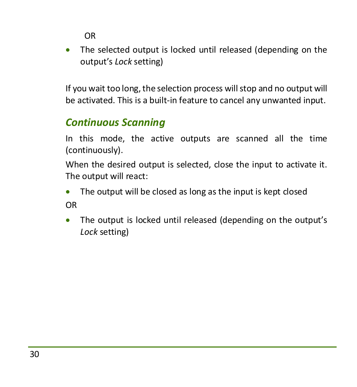OR

• The selected output is locked until released (depending on the output's *Lock* setting)

If you wait too long, the selection process will stop and no output will be activated. This is a built-in feature to cancel any unwanted input.

### *Continuous Scanning*

In this mode, the active outputs are scanned all the time (continuously).

When the desired output is selected, close the input to activate it. The output will react:

- The output will be closed as long as the input is kept closed OR
- The output is locked until released (depending on the output's *Lock* setting)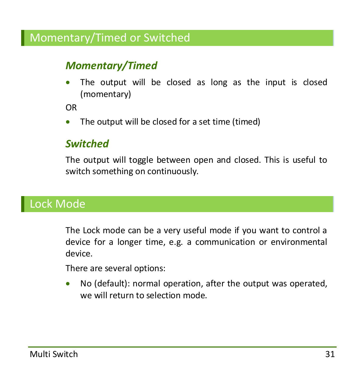### <span id="page-30-0"></span>Momentary/Timed or Switched

### *Momentary/Timed*

• The output will be closed as long as the input is closed (momentary)

OR

• The output will be closed for a set time (timed)

#### *Switched*

The output will toggle between open and closed. This is useful to switch something on continuously.

### <span id="page-30-1"></span>Lock Mode

The Lock mode can be a very useful mode if you want to control a device for a longer time, e.g. a communication or environmental device.

There are several options:

 No (default): normal operation, after the output was operated, we will return to selection mode.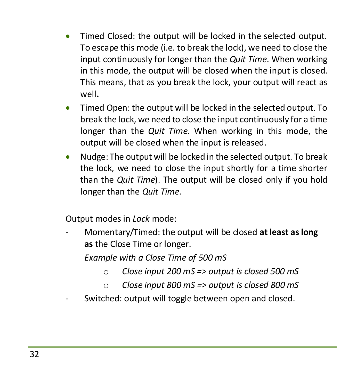- Timed Closed: the output will be locked in the selected output. To escape this mode (i.e. to break the lock), we need to close the input continuously for longer than the *Quit Time*. When working in this mode, the output will be closed when the input is closed. This means, that as you break the lock, your output will react as well**.**
- Timed Open: the output will be locked in the selected output. To break the lock, we need to close the input continuously for a time longer than the *Quit Time*. When working in this mode, the output will be closed when the input is released.
- Nudge: The output will be locked in the selected output. To break the lock, we need to close the input shortly for a time shorter than the *Quit Time*). The output will be closed only if you hold longer than the *Quit Time*.

Output modes in *Lock* mode:

- Momentary/Timed: the output will be closed **at least as long as** the Close Time or longer.

*Example with a Close Time of 500 mS*

- o *Close input 200 mS => output is closed 500 mS*
- o *Close input 800 mS => output is closed 800 mS*
- Switched: output will toggle between open and closed.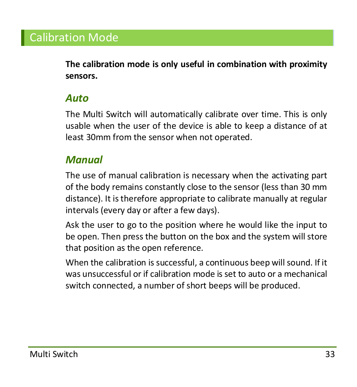### <span id="page-32-0"></span>Calibration Mode

**The calibration mode is only useful in combination with proximity sensors.**

#### *Auto*

The Multi Switch will automatically calibrate over time. This is only usable when the user of the device is able to keep a distance of at least 30mm from the sensor when not operated.

#### *Manual*

The use of manual calibration is necessary when the activating part of the body remains constantly close to the sensor (less than 30 mm distance). It is therefore appropriate to calibrate manually at regular intervals (every day or after a few days).

Ask the user to go to the position where he would like the input to be open. Then press the button on the box and the system will store that position as the open reference.

When the calibration is successful, a continuous beep will sound. If it was unsuccessful or if calibration mode is set to auto or a mechanical switch connected, a number of short beeps will be produced.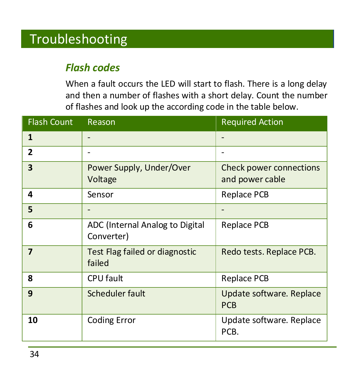## <span id="page-33-0"></span>Troubleshooting

### *Flash codes*

When a fault occurs the LED will start to flash. There is a long delay and then a number of flashes with a short delay. Count the number of flashes and look up the according code in the table below.

| <b>Flash Count</b> | Reason                                        | <b>Required Action</b>                     |
|--------------------|-----------------------------------------------|--------------------------------------------|
| 1                  |                                               |                                            |
| $\overline{2}$     |                                               |                                            |
| 3                  | Power Supply, Under/Over<br>Voltage           | Check power connections<br>and power cable |
| 4                  | Sensor                                        | Replace PCB                                |
| 5                  |                                               |                                            |
| 6                  | ADC (Internal Analog to Digital<br>Converter) | Replace PCB                                |
| 7                  | Test Flag failed or diagnostic<br>failed      | Redo tests. Replace PCB.                   |
| 8                  | CPU fault                                     | Replace PCB                                |
| 9                  | Scheduler fault                               | Update software. Replace<br><b>PCB</b>     |
| 10                 | Coding Error                                  | Update software. Replace<br>PCB.           |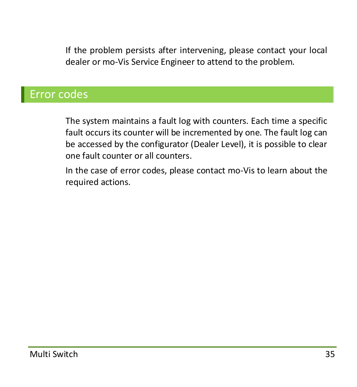If the problem persists after intervening, please contact your local dealer or mo-Vis Service Engineer to attend to the problem.

### <span id="page-34-0"></span>Error codes

The system maintains a fault log with counters. Each time a specific fault occurs its counter will be incremented by one. The fault log can be accessed by the configurator (Dealer Level), it is possible to clear one fault counter or all counters.

In the case of error codes, please contact mo-Vis to learn about the required actions.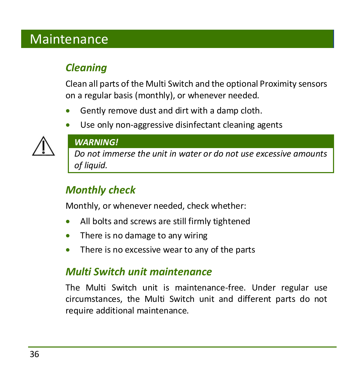## <span id="page-35-0"></span>Maintenance

### *Cleaning*

Clean all parts of the Multi Switch and the optional Proximity sensors on a regular basis (monthly), or whenever needed.

- Gently remove dust and dirt with a damp cloth.
- Use only non-aggressive disinfectant cleaning agents



#### *WARNING!*

*Do not immerse the unit in water or do not use excessive amounts of liquid.*

### *Monthly check*

Monthly, or whenever needed, check whether:

- All bolts and screws are still firmly tightened
- There is no damage to any wiring
- There is no excessive wear to any of the parts

### *Multi Switch unit maintenance*

The Multi Switch unit is maintenance-free. Under regular use circumstances, the Multi Switch unit and different parts do not require additional maintenance.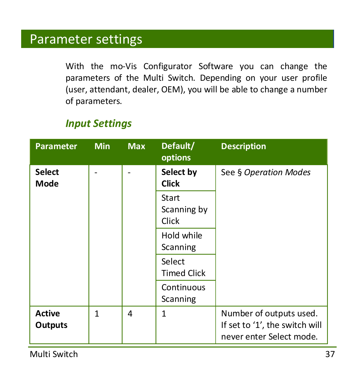## <span id="page-36-0"></span>Parameter settings

With the mo-Vis Configurator Software you can change the parameters of the Multi Switch. Depending on your user profile (user, attendant, dealer, OEM), you will be able to change a number of parameters.

| <b>Parameter</b>                | <b>Min</b> | <b>Max</b> | Default/<br>options           | <b>Description</b>                                                                    |
|---------------------------------|------------|------------|-------------------------------|---------------------------------------------------------------------------------------|
| <b>Select</b><br>Mode           | ٠          |            | Select by<br><b>Click</b>     | See § Operation Modes                                                                 |
|                                 |            |            | Start<br>Scanning by<br>Click |                                                                                       |
|                                 |            |            | Hold while<br>Scanning        |                                                                                       |
|                                 |            |            | Select<br><b>Timed Click</b>  |                                                                                       |
|                                 |            |            | Continuous<br>Scanning        |                                                                                       |
| <b>Active</b><br><b>Outputs</b> | 1          | 4          | 1                             | Number of outputs used.<br>If set to '1', the switch will<br>never enter Select mode. |

### *Input Settings*

Multi Switch 37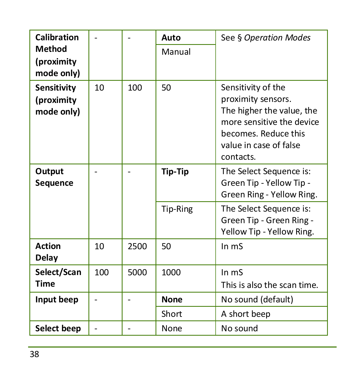| <b>Calibration</b>                              |     |      | Auto           | See § Operation Modes                                                                                                                                             |
|-------------------------------------------------|-----|------|----------------|-------------------------------------------------------------------------------------------------------------------------------------------------------------------|
| <b>Method</b><br>(proximity                     |     |      | Manual         |                                                                                                                                                                   |
| mode only)                                      |     |      |                |                                                                                                                                                                   |
| <b>Sensitivity</b><br>(proximity)<br>mode only) | 10  | 100  | 50             | Sensitivity of the<br>proximity sensors.<br>The higher the value, the<br>more sensitive the device<br>becomes. Reduce this<br>value in case of false<br>contacts. |
| Output<br>Sequence                              |     |      | <b>Tip-Tip</b> | The Select Sequence is:<br>Green Tip - Yellow Tip -<br>Green Ring - Yellow Ring.                                                                                  |
|                                                 |     |      | Tip-Ring       | The Select Sequence is:<br>Green Tip - Green Ring -<br>Yellow Tip - Yellow Ring.                                                                                  |
| Action<br>Delay                                 | 10  | 2500 | 50             | In $ms$                                                                                                                                                           |
| Select/Scan<br><b>Time</b>                      | 100 | 5000 | 1000           | In $ms$<br>This is also the scan time.                                                                                                                            |
| Input beep                                      |     |      | <b>None</b>    | No sound (default)                                                                                                                                                |
|                                                 |     |      | Short          | A short beep                                                                                                                                                      |
| Select beep                                     |     |      | None           | No sound                                                                                                                                                          |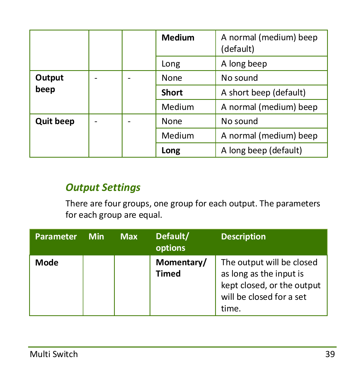|                  |  | <b>Medium</b> | A normal (medium) beep<br>(default) |
|------------------|--|---------------|-------------------------------------|
|                  |  | Long          | A long beep                         |
| Output           |  | None          | No sound                            |
| beep             |  | <b>Short</b>  | A short beep (default)              |
|                  |  | Medium        | A normal (medium) beep              |
| <b>Quit beep</b> |  | None          | No sound                            |
|                  |  | Medium        | A normal (medium) beep              |
|                  |  | Long          | A long beep (default)               |

### *Output Settings*

There are four groups, one group for each output. The parameters for each group are equal.

| <b>Parameter</b> | Min | <b>Max</b> | Default/<br>options        | <b>Description</b>                                                                                                      |
|------------------|-----|------------|----------------------------|-------------------------------------------------------------------------------------------------------------------------|
| Mode             |     |            | Momentary/<br><b>Timed</b> | The output will be closed<br>as long as the input is<br>kept closed, or the output<br>will be closed for a set<br>time. |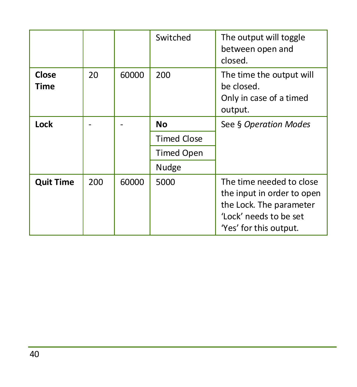|                  |     |       | Switched           | The output will toggle<br>between open and<br>closed.                                                                                 |
|------------------|-----|-------|--------------------|---------------------------------------------------------------------------------------------------------------------------------------|
| Close<br>Time    | 20  | 60000 | 200                | The time the output will<br>be closed.<br>Only in case of a timed<br>output.                                                          |
| Lock             |     |       | No                 | See § Operation Modes                                                                                                                 |
|                  |     |       | <b>Timed Close</b> |                                                                                                                                       |
|                  |     |       | <b>Timed Open</b>  |                                                                                                                                       |
|                  |     |       | Nudge              |                                                                                                                                       |
| <b>Quit Time</b> | 200 | 60000 | 5000               | The time needed to close<br>the input in order to open<br>the Lock. The parameter<br>'Lock' needs to be set<br>'Yes' for this output. |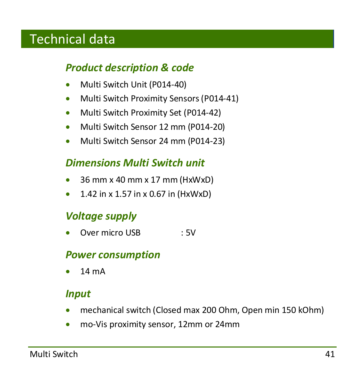## <span id="page-40-0"></span>Technical data

### *Product description & code*

- Multi Switch Unit (P014-40)
- Multi Switch Proximity Sensors (P014-41)
- Multi Switch Proximity Set (P014-42)
- Multi Switch Sensor 12 mm (P014-20)
- Multi Switch Sensor 24 mm (P014-23)

### *Dimensions Multi Switch unit*

- $\bullet$  36 mm x 40 mm x 17 mm (HxWxD)
- $\bullet$  1.42 in x 1.57 in x 0.67 in (HxWxD)

### *Voltage supply*

Over micro USB : 5V

### *Power consumption*

14 mA

### *Input*

- mechanical switch (Closed max 200 Ohm, Open min 150 kOhm)
- mo-Vis proximity sensor, 12mm or 24mm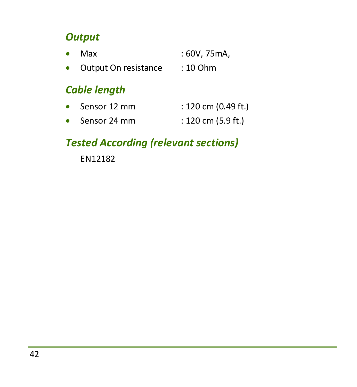### *Output*

| $\bullet$ | Max                  | : 60V, 75mA, |
|-----------|----------------------|--------------|
| $\bullet$ | Output On resistance | $: 10$ Ohm   |

### *Cable length*

| $\bullet$ | Sensor 12 mm | : 120 cm (0.49 ft.)                   |
|-----------|--------------|---------------------------------------|
|           | Sensor 24 mm | $: 120 \text{ cm } (5.9 \text{ ft.})$ |

### *Tested According (relevant sections)*

EN12182